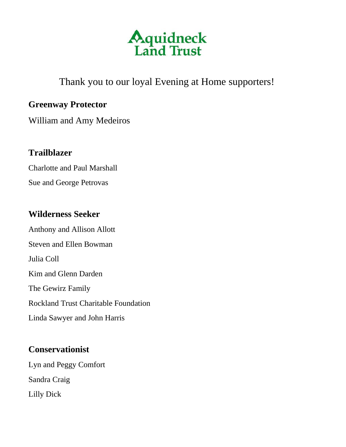

# Thank you to our loyal Evening at Home supporters!

## **Greenway Protector**

William and Amy Medeiros

# **Trailblazer**

Charlotte and Paul Marshall

Sue and George Petrovas

## **Wilderness Seeker**

Anthony and Allison Allott Steven and Ellen Bowman Julia Coll Kim and Glenn Darden The Gewirz Family Rockland Trust Charitable Foundation Linda Sawyer and John Harris

### **Conservationist**

Lyn and Peggy Comfort Sandra Craig Lilly Dick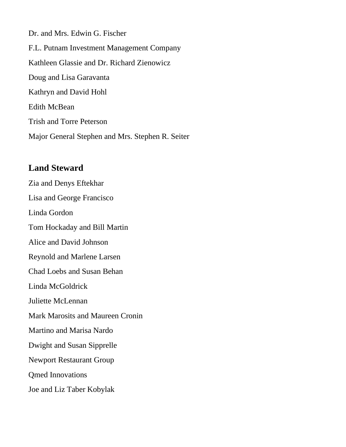Dr. and Mrs. Edwin G. Fischer F.L. Putnam Investment Management Company Kathleen Glassie and Dr. Richard Zienowicz Doug and Lisa Garavanta Kathryn and David Hohl Edith McBean Trish and Torre Peterson Major General Stephen and Mrs. Stephen R. Seiter

#### **Land Steward**

Zia and Denys Eftekhar Lisa and George Francisco Linda Gordon Tom Hockaday and Bill Martin Alice and David Johnson Reynold and Marlene Larsen Chad Loebs and Susan Behan Linda McGoldrick Juliette McLennan Mark Marosits and Maureen Cronin Martino and Marisa Nardo Dwight and Susan Sipprelle Newport Restaurant Group Qmed Innovations Joe and Liz Taber Kobylak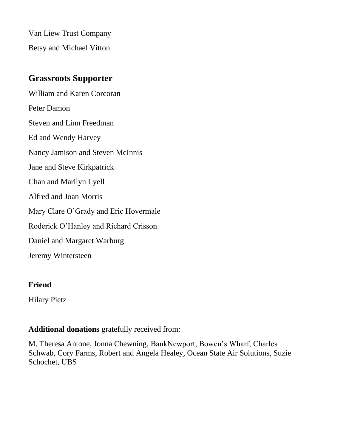Van Liew Trust Company Betsy and Michael Vitton

## **Grassroots Supporter**

William and Karen Corcoran Peter Damon Steven and Linn Freedman Ed and Wendy Harvey Nancy Jamison and Steven McInnis Jane and Steve Kirkpatrick Chan and Marilyn Lyell Alfred and Joan Morris Mary Clare O'Grady and Eric Hovermale Roderick O'Hanley and Richard Crisson Daniel and Margaret Warburg Jeremy Wintersteen

#### **Friend**

Hilary Pietz

#### **Additional donations** gratefully received from:

M. Theresa Antone, Jonna Chewning, BankNewport, Bowen's Wharf, Charles Schwab, Cory Farms, Robert and Angela Healey, Ocean State Air Solutions, Suzie Schochet, UBS